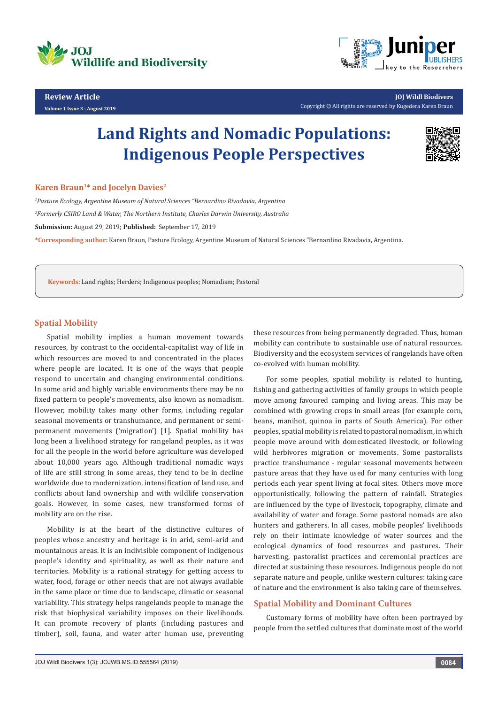

**Review Article Volume 1 Issue 3 - August 2019**

**JOJ Wildl Biodivers** Copyright © All rights are reserved by Kugedera Karen Braun

# **Land Rights and Nomadic Populations: Indigenous People Perspectives**



## **Karen Braun<sup>1\*</sup> and Jocelyn Davies<sup>2</sup>**

*1 Pasture Ecology, Argentine Museum of Natural Sciences "Bernardino Rivadavia, Argentina 2 Formerly CSIRO Land & Water, The Northern Institute, Charles Darwin University, Australia* **Submission:** August 29, 2019; **Published:** September 17, 2019 **\*Corresponding author:** Karen Braun, Pasture Ecology, Argentine Museum of Natural Sciences "Bernardino Rivadavia, Argentina.

**Keywords:** Land rights; Herders; Indigenous peoples; Nomadism; Pastoral

## **Spatial Mobility**

Spatial mobility implies a human movement towards resources, by contrast to the occidental-capitalist way of life in which resources are moved to and concentrated in the places where people are located. It is one of the ways that people respond to uncertain and changing environmental conditions. In some arid and highly variable environments there may be no fixed pattern to people's movements, also known as nomadism. However, mobility takes many other forms, including regular seasonal movements or transhumance, and permanent or semipermanent movements ('migration') [1]. Spatial mobility has long been a livelihood strategy for rangeland peoples, as it was for all the people in the world before agriculture was developed about 10,000 years ago. Although traditional nomadic ways of life are still strong in some areas, they tend to be in decline worldwide due to modernization, intensification of land use, and conflicts about land ownership and with wildlife conservation goals. However, in some cases, new transformed forms of mobility are on the rise.

Mobility is at the heart of the distinctive cultures of peoples whose ancestry and heritage is in arid, semi-arid and mountainous areas. It is an indivisible component of indigenous people's identity and spirituality, as well as their nature and territories. Mobility is a rational strategy for getting access to water, food, forage or other needs that are not always available in the same place or time due to landscape, climatic or seasonal variability. This strategy helps rangelands people to manage the risk that biophysical variability imposes on their livelihoods. It can promote recovery of plants (including pastures and timber), soil, fauna, and water after human use, preventing

these resources from being permanently degraded. Thus, human mobility can contribute to sustainable use of natural resources. Biodiversity and the ecosystem services of rangelands have often co-evolved with human mobility.

For some peoples, spatial mobility is related to hunting, fishing and gathering activities of family groups in which people move among favoured camping and living areas. This may be combined with growing crops in small areas (for example corn, beans, manihot, quinoa in parts of South America). For other peoples, spatial mobility is related to pastoral nomadism, in which people move around with domesticated livestock, or following wild herbivores migration or movements. Some pastoralists practice transhumance - regular seasonal movements between pasture areas that they have used for many centuries with long periods each year spent living at focal sites. Others move more opportunistically, following the pattern of rainfall. Strategies are influenced by the type of livestock, topography, climate and availability of water and forage. Some pastoral nomads are also hunters and gatherers. In all cases, mobile peoples' livelihoods rely on their intimate knowledge of water sources and the ecological dynamics of food resources and pastures. Their harvesting, pastoralist practices and ceremonial practices are directed at sustaining these resources. Indigenous people do not separate nature and people, unlike western cultures: taking care of nature and the environment is also taking care of themselves.

### **Spatial Mobility and Dominant Cultures**

Customary forms of mobility have often been portrayed by people from the settled cultures that dominate most of the world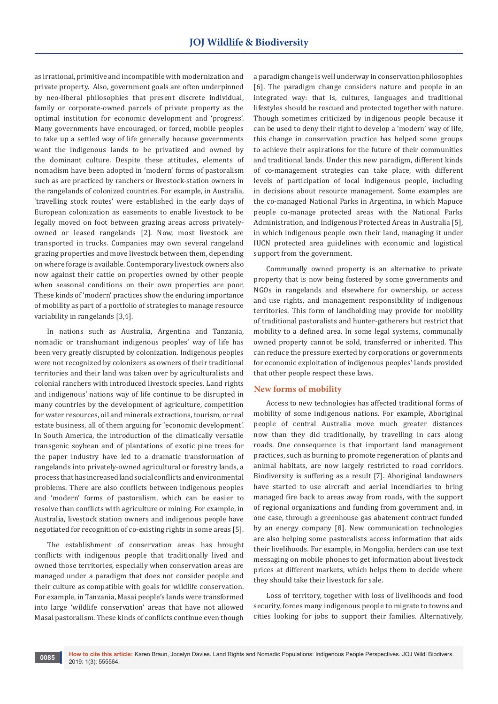as irrational, primitive and incompatible with modernization and private property. Also, government goals are often underpinned by neo-liberal philosophies that present discrete individual, family or corporate-owned parcels of private property as the optimal institution for economic development and 'progress'. Many governments have encouraged, or forced, mobile peoples to take up a settled way of life generally because governments want the indigenous lands to be privatized and owned by the dominant culture. Despite these attitudes, elements of nomadism have been adopted in 'modern' forms of pastoralism such as are practiced by ranchers or livestock-station owners in the rangelands of colonized countries. For example, in Australia, 'travelling stock routes' were established in the early days of European colonization as easements to enable livestock to be legally moved on foot between grazing areas across privatelyowned or leased rangelands [2]. Now, most livestock are transported in trucks. Companies may own several rangeland grazing properties and move livestock between them, depending on where forage is available. Contemporary livestock owners also now against their cattle on properties owned by other people when seasonal conditions on their own properties are poor. These kinds of 'modern' practices show the enduring importance of mobility as part of a portfolio of strategies to manage resource variability in rangelands [3,4].

In nations such as Australia, Argentina and Tanzania, nomadic or transhumant indigenous peoples' way of life has been very greatly disrupted by colonization. Indigenous peoples were not recognized by colonizers as owners of their traditional territories and their land was taken over by agriculturalists and colonial ranchers with introduced livestock species. Land rights and indigenous' nations way of life continue to be disrupted in many countries by the development of agriculture, competition for water resources, oil and minerals extractions, tourism, or real estate business, all of them arguing for 'economic development'. In South America, the introduction of the climatically versatile transgenic soybean and of plantations of exotic pine trees for the paper industry have led to a dramatic transformation of rangelands into privately-owned agricultural or forestry lands, a process that has increased land social conflicts and environmental problems. There are also conflicts between indigenous peoples and 'modern' forms of pastoralism, which can be easier to resolve than conflicts with agriculture or mining. For example, in Australia, livestock station owners and indigenous people have negotiated for recognition of co-existing rights in some areas [5].

The establishment of conservation areas has brought conflicts with indigenous people that traditionally lived and owned those territories, especially when conservation areas are managed under a paradigm that does not consider people and their culture as compatible with goals for wildlife conservation. For example, in Tanzania, Masai people's lands were transformed into large 'wildlife conservation' areas that have not allowed Masai pastoralism. These kinds of conflicts continue even though

a paradigm change is well underway in conservation philosophies [6]. The paradigm change considers nature and people in an integrated way: that is, cultures, languages and traditional lifestyles should be rescued and protected together with nature. Though sometimes criticized by indigenous people because it can be used to deny their right to develop a 'modern' way of life, this change in conservation practice has helped some groups to achieve their aspirations for the future of their communities and traditional lands. Under this new paradigm, different kinds of co-management strategies can take place, with different levels of participation of local indigenous people, including in decisions about resource management. Some examples are the co-managed National Parks in Argentina, in which Mapuce people co-manage protected areas with the National Parks Administration, and Indigenous Protected Areas in Australia [5], in which indigenous people own their land, managing it under IUCN protected area guidelines with economic and logistical support from the government.

Communally owned property is an alternative to private property that is now being fostered by some governments and NGOs in rangelands and elsewhere for ownership, or access and use rights, and management responsibility of indigenous territories. This form of landholding may provide for mobility of traditional pastoralists and hunter-gatherers but restrict that mobility to a defined area. In some legal systems, communally owned property cannot be sold, transferred or inherited. This can reduce the pressure exerted by corporations or governments for economic exploitation of indigenous peoples' lands provided that other people respect these laws.

# **New forms of mobility**

Access to new technologies has affected traditional forms of mobility of some indigenous nations. For example, Aboriginal people of central Australia move much greater distances now than they did traditionally, by travelling in cars along roads. One consequence is that important land management practices, such as burning to promote regeneration of plants and animal habitats, are now largely restricted to road corridors. Biodiversity is suffering as a result [7]. Aboriginal landowners have started to use aircraft and aerial incendiaries to bring managed fire back to areas away from roads, with the support of regional organizations and funding from government and, in one case, through a greenhouse gas abatement contract funded by an energy company [8]. New communication technologies are also helping some pastoralists access information that aids their livelihoods. For example, in Mongolia, herders can use text messaging on mobile phones to get information about livestock prices at different markets, which helps them to decide where they should take their livestock for sale.

Loss of territory, together with loss of livelihoods and food security, forces many indigenous people to migrate to towns and cities looking for jobs to support their families. Alternatively,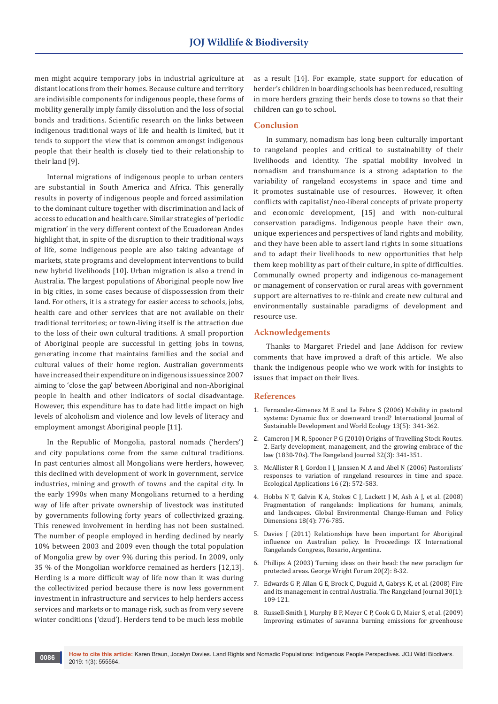men might acquire temporary jobs in industrial agriculture at distant locations from their homes. Because culture and territory are indivisible components for indigenous people, these forms of mobility generally imply family dissolution and the loss of social bonds and traditions. Scientific research on the links between indigenous traditional ways of life and health is limited, but it tends to support the view that is common amongst indigenous people that their health is closely tied to their relationship to their land [9].

Internal migrations of indigenous people to urban centers are substantial in South America and Africa. This generally results in poverty of indigenous people and forced assimilation to the dominant culture together with discrimination and lack of access to education and health care. Similar strategies of 'periodic migration' in the very different context of the Ecuadorean Andes highlight that, in spite of the disruption to their traditional ways of life, some indigenous people are also taking advantage of markets, state programs and development interventions to build new hybrid livelihoods [10]. Urban migration is also a trend in Australia. The largest populations of Aboriginal people now live in big cities, in some cases because of dispossession from their land. For others, it is a strategy for easier access to schools, jobs, health care and other services that are not available on their traditional territories; or town-living itself is the attraction due to the loss of their own cultural traditions. A small proportion of Aboriginal people are successful in getting jobs in towns, generating income that maintains families and the social and cultural values of their home region. Australian governments have increased their expenditure on indigenous issues since 2007 aiming to 'close the gap' between Aboriginal and non-Aboriginal people in health and other indicators of social disadvantage. However, this expenditure has to date had little impact on high levels of alcoholism and violence and low levels of literacy and employment amongst Aboriginal people [11].

In the Republic of Mongolia, pastoral nomads ('herders') and city populations come from the same cultural traditions. In past centuries almost all Mongolians were herders, however, this declined with development of work in government, service industries, mining and growth of towns and the capital city. In the early 1990s when many Mongolians returned to a herding way of life after private ownership of livestock was instituted by governments following forty years of collectivized grazing. This renewed involvement in herding has not been sustained. The number of people employed in herding declined by nearly 10% between 2003 and 2009 even though the total population of Mongolia grew by over 9% during this period. In 2009, only 35 % of the Mongolian workforce remained as herders [12,13]. Herding is a more difficult way of life now than it was during the collectivized period because there is now less government investment in infrastructure and services to help herders access services and markets or to manage risk, such as from very severe winter conditions ('dzud'). Herders tend to be much less mobile

as a result [14]. For example, state support for education of herder's children in boarding schools has been reduced, resulting in more herders grazing their herds close to towns so that their children can go to school.

### **Conclusion**

In summary, nomadism has long been culturally important to rangeland peoples and critical to sustainability of their livelihoods and identity. The spatial mobility involved in nomadism and transhumance is a strong adaptation to the variability of rangeland ecosystems in space and time and it promotes sustainable use of resources. However, it often conflicts with capitalist/neo-liberal concepts of private property and economic development, [15] and with non-cultural conservation paradigms. Indigenous people have their own, unique experiences and perspectives of land rights and mobility, and they have been able to assert land rights in some situations and to adapt their livelihoods to new opportunities that help them keep mobility as part of their culture, in spite of difficulties. Communally owned property and indigenous co-management or management of conservation or rural areas with government support are alternatives to re-think and create new cultural and environmentally sustainable paradigms of development and resource use.

## **Acknowledgements**

Thanks to Margaret Friedel and Jane Addison for review comments that have improved a draft of this article. We also thank the indigenous people who we work with for insights to issues that impact on their lives.

## **References**

- 1. [Fernandez-Gimenez M E and Le Febre S \(2006\) Mobility in pastoral](https://www.tandfonline.com/doi/abs/10.1080/13504500609469685)  [systems: Dynamic flux or downward trend? International Journal of](https://www.tandfonline.com/doi/abs/10.1080/13504500609469685)  [Sustainable Development and World Ecology 13\(5\): 341-362.](https://www.tandfonline.com/doi/abs/10.1080/13504500609469685)
- 2. [Cameron J M R, Spooner P G \(2010\) Origins of Travelling Stock Routes.](https://globalrangelands.org/dlio/51374)  [2. Early development, management, and the growing embrace of the](https://globalrangelands.org/dlio/51374)  [law \(1830-70s\). The Rangeland Journal 32\(3\): 341-351.](https://globalrangelands.org/dlio/51374)
- 3. McAllister R J, Gordon I J, Janssen M A and Abel N (2006) Pastoralists' responses to variation of rangeland resources in time and space. Ecological Applications 16 (2): 572-583.
- 4. [Hobbs N T, Galvin K A, Stokes C J, Lackett J M, Ash A J, et al. \(2008\)](https://www.researchgate.net/publication/223486344_Fragmentation_of_rangelands_Implications_for_humans_animals_and_landscapes)  [Fragmentation of rangelands: Implications for humans, animals,](https://www.researchgate.net/publication/223486344_Fragmentation_of_rangelands_Implications_for_humans_animals_and_landscapes)  [and landscapes. Global Environmental Change-Human and Policy](https://www.researchgate.net/publication/223486344_Fragmentation_of_rangelands_Implications_for_humans_animals_and_landscapes)  [Dimensions 18\(4\): 776-785.](https://www.researchgate.net/publication/223486344_Fragmentation_of_rangelands_Implications_for_humans_animals_and_landscapes)
- 5. Davies J (2011) Relationships have been important for Aboriginal influence on Australian policy. In Proceedings IX International Rangelands Congress, Rosario, Argentina.
- 6. Phillips A (2003) Turning ideas on their head: the new paradigm for protected areas. George Wright Forum 20(2): 8-32.
- 7. [Edwards G P, Allan G E, Brock C, Duguid A, Gabrys K, et al. \(2008\) Fire](https://www.publish.csiro.au/rj/RJ07037)  [and its management in central Australia. The Rangeland Journal 30\(1\):](https://www.publish.csiro.au/rj/RJ07037)  [109-121.](https://www.publish.csiro.au/rj/RJ07037)
- 8. [Russell-Smith J, Murphy B P, Meyer C P, Cook G D, Maier S, et al. \(2009\)](https://researchers.mq.edu.au/en/publications/improving-estimates-of-savanna-burning-emissions-for-greenhouse-a)  [Improving estimates of savanna burning emissions for greenhouse](https://researchers.mq.edu.au/en/publications/improving-estimates-of-savanna-burning-emissions-for-greenhouse-a)